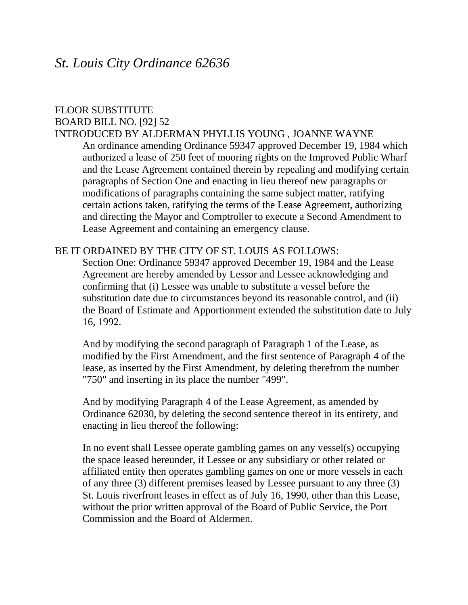## *St. Louis City Ordinance 62636*

## FLOOR SUBSTITUTE BOARD BILL NO. [92] 52

## INTRODUCED BY ALDERMAN PHYLLIS YOUNG , JOANNE WAYNE

An ordinance amending Ordinance 59347 approved December 19, 1984 which authorized a lease of 250 feet of mooring rights on the Improved Public Wharf and the Lease Agreement contained therein by repealing and modifying certain paragraphs of Section One and enacting in lieu thereof new paragraphs or modifications of paragraphs containing the same subject matter, ratifying certain actions taken, ratifying the terms of the Lease Agreement, authorizing and directing the Mayor and Comptroller to execute a Second Amendment to Lease Agreement and containing an emergency clause.

## BE IT ORDAINED BY THE CITY OF ST. LOUIS AS FOLLOWS:

Section One: Ordinance 59347 approved December 19, 1984 and the Lease Agreement are hereby amended by Lessor and Lessee acknowledging and confirming that (i) Lessee was unable to substitute a vessel before the substitution date due to circumstances beyond its reasonable control, and (ii) the Board of Estimate and Apportionment extended the substitution date to July 16, 1992.

And by modifying the second paragraph of Paragraph 1 of the Lease, as modified by the First Amendment, and the first sentence of Paragraph 4 of the lease, as inserted by the First Amendment, by deleting therefrom the number "750" and inserting in its place the number "499".

And by modifying Paragraph 4 of the Lease Agreement, as amended by Ordinance 62030, by deleting the second sentence thereof in its entirety, and enacting in lieu thereof the following:

In no event shall Lessee operate gambling games on any vessel(s) occupying the space leased hereunder, if Lessee or any subsidiary or other related or affiliated entity then operates gambling games on one or more vessels in each of any three (3) different premises leased by Lessee pursuant to any three (3) St. Louis riverfront leases in effect as of July 16, 1990, other than this Lease, without the prior written approval of the Board of Public Service, the Port Commission and the Board of Aldermen.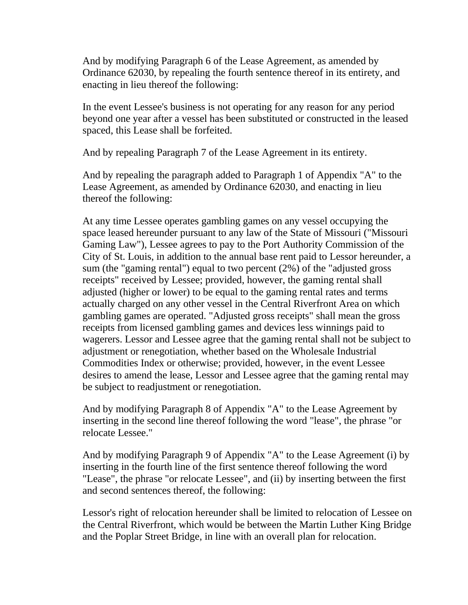And by modifying Paragraph 6 of the Lease Agreement, as amended by Ordinance 62030, by repealing the fourth sentence thereof in its entirety, and enacting in lieu thereof the following:

In the event Lessee's business is not operating for any reason for any period beyond one year after a vessel has been substituted or constructed in the leased spaced, this Lease shall be forfeited.

And by repealing Paragraph 7 of the Lease Agreement in its entirety.

And by repealing the paragraph added to Paragraph 1 of Appendix "A" to the Lease Agreement, as amended by Ordinance 62030, and enacting in lieu thereof the following:

At any time Lessee operates gambling games on any vessel occupying the space leased hereunder pursuant to any law of the State of Missouri ("Missouri Gaming Law"), Lessee agrees to pay to the Port Authority Commission of the City of St. Louis, in addition to the annual base rent paid to Lessor hereunder, a sum (the "gaming rental") equal to two percent (2%) of the "adjusted gross receipts" received by Lessee; provided, however, the gaming rental shall adjusted (higher or lower) to be equal to the gaming rental rates and terms actually charged on any other vessel in the Central Riverfront Area on which gambling games are operated. "Adjusted gross receipts" shall mean the gross receipts from licensed gambling games and devices less winnings paid to wagerers. Lessor and Lessee agree that the gaming rental shall not be subject to adjustment or renegotiation, whether based on the Wholesale Industrial Commodities Index or otherwise; provided, however, in the event Lessee desires to amend the lease, Lessor and Lessee agree that the gaming rental may be subject to readjustment or renegotiation.

And by modifying Paragraph 8 of Appendix "A" to the Lease Agreement by inserting in the second line thereof following the word "lease", the phrase "or relocate Lessee."

And by modifying Paragraph 9 of Appendix "A" to the Lease Agreement (i) by inserting in the fourth line of the first sentence thereof following the word "Lease", the phrase "or relocate Lessee", and (ii) by inserting between the first and second sentences thereof, the following:

Lessor's right of relocation hereunder shall be limited to relocation of Lessee on the Central Riverfront, which would be between the Martin Luther King Bridge and the Poplar Street Bridge, in line with an overall plan for relocation.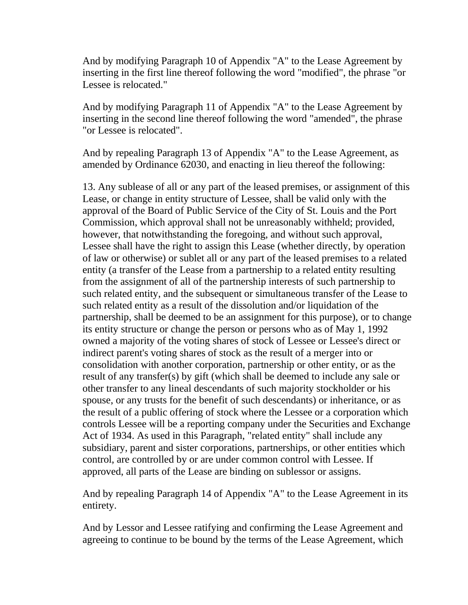And by modifying Paragraph 10 of Appendix "A" to the Lease Agreement by inserting in the first line thereof following the word "modified", the phrase "or Lessee is relocated."

And by modifying Paragraph 11 of Appendix "A" to the Lease Agreement by inserting in the second line thereof following the word "amended", the phrase "or Lessee is relocated".

And by repealing Paragraph 13 of Appendix "A" to the Lease Agreement, as amended by Ordinance 62030, and enacting in lieu thereof the following:

13. Any sublease of all or any part of the leased premises, or assignment of this Lease, or change in entity structure of Lessee, shall be valid only with the approval of the Board of Public Service of the City of St. Louis and the Port Commission, which approval shall not be unreasonably withheld; provided, however, that notwithstanding the foregoing, and without such approval, Lessee shall have the right to assign this Lease (whether directly, by operation of law or otherwise) or sublet all or any part of the leased premises to a related entity (a transfer of the Lease from a partnership to a related entity resulting from the assignment of all of the partnership interests of such partnership to such related entity, and the subsequent or simultaneous transfer of the Lease to such related entity as a result of the dissolution and/or liquidation of the partnership, shall be deemed to be an assignment for this purpose), or to change its entity structure or change the person or persons who as of May 1, 1992 owned a majority of the voting shares of stock of Lessee or Lessee's direct or indirect parent's voting shares of stock as the result of a merger into or consolidation with another corporation, partnership or other entity, or as the result of any transfer(s) by gift (which shall be deemed to include any sale or other transfer to any lineal descendants of such majority stockholder or his spouse, or any trusts for the benefit of such descendants) or inheritance, or as the result of a public offering of stock where the Lessee or a corporation which controls Lessee will be a reporting company under the Securities and Exchange Act of 1934. As used in this Paragraph, "related entity" shall include any subsidiary, parent and sister corporations, partnerships, or other entities which control, are controlled by or are under common control with Lessee. If approved, all parts of the Lease are binding on sublessor or assigns.

And by repealing Paragraph 14 of Appendix "A" to the Lease Agreement in its entirety.

And by Lessor and Lessee ratifying and confirming the Lease Agreement and agreeing to continue to be bound by the terms of the Lease Agreement, which